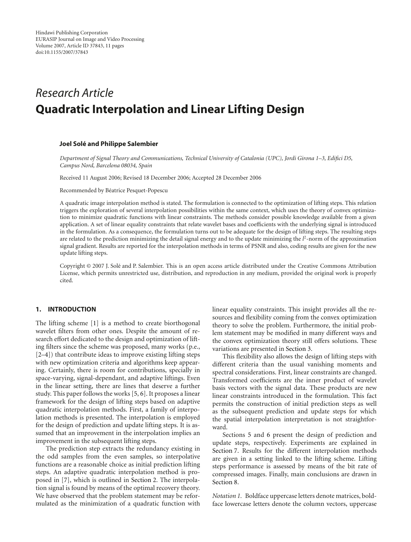# *Research Article* **Quadratic Interpolation and Linear Lifting Design**

## **Joel Sole and Philippe Salembier ´**

*Department of Signal Theory and Communications, Technical University of Catalonia (UPC), Jordi Girona 1–3, Edifici D5, Campus Nord, Barcelona 08034, Spain*

Received 11 August 2006; Revised 18 December 2006; Accepted 28 December 2006

Recommended by Beatrice Pesquet-Popescu ´

A quadratic image interpolation method is stated. The formulation is connected to the optimization of lifting steps. This relation triggers the exploration of several interpolation possibilities within the same context, which uses the theory of convex optimization to minimize quadratic functions with linear constraints. The methods consider possible knowledge available from a given application. A set of linear equality constraints that relate wavelet bases and coefficients with the underlying signal is introduced in the formulation. As a consequence, the formulation turns out to be adequate for the design of lifting steps. The resulting steps are related to the prediction minimizing the detail signal energy and to the update minimizing the *l* 2-norm of the approximation signal gradient. Results are reported for the interpolation methods in terms of PSNR and also, coding results are given for the new update lifting steps.

Copyright © 2007 J. Solé and P. Salembier. This is an open access article distributed under the Creative Commons Attribution License, which permits unrestricted use, distribution, and reproduction in any medium, provided the original work is properly cited.

## **1. INTRODUCTION**

The lifting scheme [\[1\]](#page-10-1) is a method to create biorthogonal wavelet filters from other ones. Despite the amount of research effort dedicated to the design and optimization of lifting filters since the scheme was proposed, many works (p.e., [\[2](#page-10-2)[–4](#page-10-3)]) that contribute ideas to improve existing lifting steps with new optimization criteria and algorithms keep appearing. Certainly, there is room for contributions, specially in space-varying, signal-dependant, and adaptive liftings. Even in the linear setting, there are lines that deserve a further study. This paper follows the works [\[5](#page-10-4), [6\]](#page-10-5). It proposes a linear framework for the design of lifting steps based on adaptive quadratic interpolation methods. First, a family of interpolation methods is presented. The interpolation is employed for the design of prediction and update lifting steps. It is assumed that an improvement in the interpolation implies an improvement in the subsequent lifting steps.

The prediction step extracts the redundancy existing in the odd samples from the even samples, so interpolative functions are a reasonable choice as initial prediction lifting steps. An adaptive quadratic interpolation method is proposed in [\[7](#page-10-6)], which is outlined in [Section 2.](#page-1-0) The interpolation signal is found by means of the optimal recovery theory. We have observed that the problem statement may be reformulated as the minimization of a quadratic function with

linear equality constraints. This insight provides all the resources and flexibility coming from the convex optimization theory to solve the problem. Furthermore, the initial problem statement may be modified in many different ways and the convex optimization theory still offers solutions. These variations are presented in [Section 3.](#page-2-0)

This flexibility also allows the design of lifting steps with different criteria than the usual vanishing moments and spectral considerations. First, linear constraints are changed. Transformed coefficients are the inner product of wavelet basis vectors with the signal data. These products are new linear constraints introduced in the formulation. This fact permits the construction of initial prediction steps as well as the subsequent prediction and update steps for which the spatial interpolation interpretation is not straightforward.

Sections [5](#page-4-0) and [6](#page-4-1) present the design of prediction and update steps, respectively. Experiments are explained in [Section 7.](#page-6-0) Results for the different interpolation methods are given in a setting linked to the lifting scheme. Lifting steps performance is assessed by means of the bit rate of compressed images. Finally, main conclusions are drawn in [Section 8.](#page-10-7)

*Notation 1.* Boldface uppercase letters denote matrices, boldface lowercase letters denote the column vectors, uppercase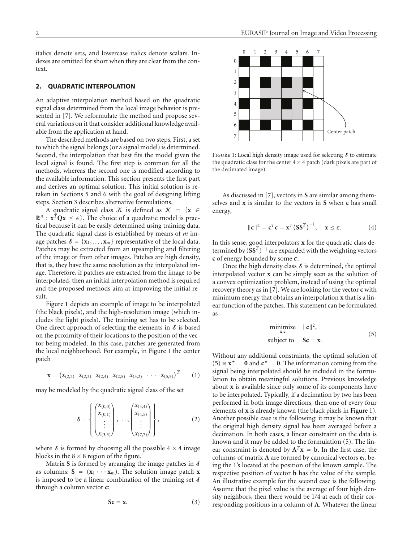italics denote sets, and lowercase italics denote scalars. Indexes are omitted for short when they are clear from the context.

# <span id="page-1-0"></span>**2. QUADRATIC INTERPOLATION**

An adaptive interpolation method based on the quadratic signal class determined from the local image behavior is presented in [\[7\]](#page-10-6). We reformulate the method and propose several variations on it that consider additional knowledge available from the application at hand.

The described methods are based on two steps. First, a set to which the signal belongs (or a signal model) is determined. Second, the interpolation that best fits the model given the local signal is found. The first step is common for all the methods, whereas the second one is modified according to the available information. This section presents the first part and derives an optimal solution. This initial solution is retaken in Sections [5](#page-4-0) and [6](#page-4-1) with the goal of designing lifting steps. [Section 3](#page-2-0) describes alternative formulations.

A quadratic signal class  $K$  is defined as  $K = \{x \in$  $\mathbb{R}^n$  :  $\mathbf{x}^T \mathbf{Q} \mathbf{x} \leq \epsilon$ . The choice of a quadratic model is practical because it can be easily determined using training data. The quadratic signal class is established by means of *m* image patches  $\mathcal{S} = {\mathbf{x}_1, \dots, \mathbf{x}_m}$  representative of the local data. Patches may be extracted from an upsampling and filtering of the image or from other images. Patches are high density, that is, they have the same resolution as the interpolated image. Therefore, if patches are extracted from the image to be interpolated, then an initial interpolation method is required and the proposed methods aim at improving the initial result.

[Figure 1](#page-1-1) depicts an example of image to be interpolated (the black pixels), and the high-resolution image (which includes the light pixels). The training set has to be selected. One direct approach of selecting the elements in  $\delta$  is based on the proximity of their locations to the position of the vector being modeled. In this case, patches are generated from the local neighborhood. For example, in [Figure 1](#page-1-1) the center patch

$$
\mathbf{x} = (x_{(2,2)} \ x_{(2,3)} \ x_{(2,4)} \ x_{(2,5)} \ x_{(3,2)} \ \cdots \ x_{(5,5)} )^T \ (1)
$$

may be modeled by the quadratic signal class of the set

$$
\delta = \left\{ \begin{pmatrix} x_{(0,0)} \\ x_{(0,1)} \\ \vdots \\ x_{(3,3)} \end{pmatrix}, \dots, \begin{pmatrix} x_{(4,4)} \\ x_{(4,5)} \\ \vdots \\ x_{(7,7)} \end{pmatrix} \right\},
$$
(2)

where  $\delta$  is formed by choosing all the possible  $4 \times 4$  image blocks in the  $8 \times 8$  region of the figure.

Matrix **S** is formed by arranging the image patches in S as columns:  $S = (x_1 \cdots x_m)$ . The solution image patch **x** is imposed to be a linear combination of the training set  $\delta$ through a column vector **c**:

$$
Sc = x.\t\t(3)
$$



<span id="page-1-1"></span>FIGURE 1: Local high density image used for selecting  $\delta$  to estimate the quadratic class for the center  $4 \times 4$  patch (dark pixels are part of the decimated image).

As discussed in [\[7\]](#page-10-6), vectors in **S** are similar among themselves and **x** is similar to the vectors in **S** when **c** has small energy,

$$
\|\mathbf{c}\|^2 = \mathbf{c}^T \mathbf{c} = \mathbf{x}^T (\mathbf{S} \mathbf{S}^T)^{-1}, \quad \mathbf{x} \le \epsilon.
$$
 (4)

In this sense, good interpolators **x** for the quadratic class determined by  $(SS<sup>T</sup>)<sup>-1</sup>$  are expanded with the weighting vectors  $c$  of energy bounded by some  $\epsilon$ .

Once the high density class  $\delta$  is determined, the optimal interpolated vector **x** can be simply seen as the solution of a convex optimization problem, instead of using the optimal recovery theory as in [\[7](#page-10-6)]. We are looking for the vector **c** with minimum energy that obtains an interpolation **x** that is a linear function of the patches. This statement can be formulated as

<span id="page-1-2"></span>
$$
\begin{array}{ll}\n\text{minimize} & \|\mathbf{c}\|^2, \\
\text{subject to} & \mathbf{Sc} = \mathbf{x}.\n\end{array} \tag{5}
$$

Without any additional constraints, the optimal solution of [\(5\)](#page-1-2) is  $x^* = 0$  and  $c^* = 0$ . The information coming from the signal being interpolated should be included in the formulation to obtain meaningful solutions. Previous knowledge about **x** is available since only some of its components have to be interpolated. Typically, if a decimation by two has been performed in both image directions, then one of every four elements of **x** is already known (the black pixels in [Figure 1\)](#page-1-1). Another possible case is the following: it may be known that the original high density signal has been averaged before a decimation. In both cases, a linear constraint on the data is known and it may be added to the formulation [\(5\)](#page-1-2). The linear constraint is denoted by  $A^T x = b$ . In the first case, the columns of matrix **A** are formed by canonical vectors **e***i*, being the 1's located at the position of the known sample. The respective position of vector **b** has the value of the sample. An illustrative example for the second case is the following. Assume that the pixel value is the average of four high density neighbors, then there would be 1*/*4 at each of their corresponding positions in a column of **A**. Whatever the linear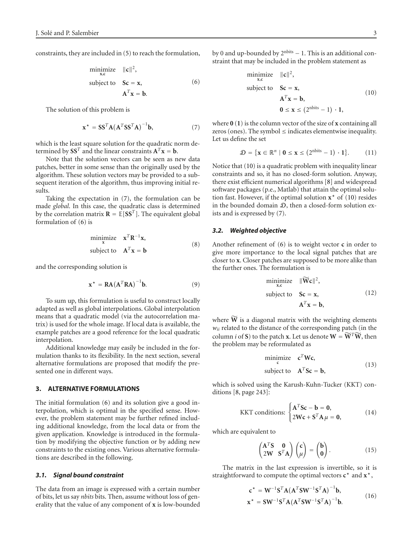constraints, they are included in [\(5\)](#page-1-2) to reach the formulation,

<span id="page-2-2"></span>minimize 
$$
||c||^2
$$
,  
\nsubject to  $Sc = x$ ,  
\n $A^T x = b$ . (6)

The solution of this problem is

<span id="page-2-1"></span>
$$
\mathbf{x}^{\star} = \mathbf{S}\mathbf{S}^{T}\mathbf{A}(\mathbf{A}^{T}\mathbf{S}\mathbf{S}^{T}\mathbf{A})^{-1}\mathbf{b},\tag{7}
$$

which is the least square solution for the quadratic norm determined by  $SS^T$  and the linear constraints  $A^T x = b$ .

Note that the solution vectors can be seen as new data patches, better in some sense than the originally used by the algorithm. These solution vectors may be provided to a subsequent iteration of the algorithm, thus improving initial results.

Taking the expectation in [\(7\)](#page-2-1), the formulation can be made *global*. In this case, the quadratic class is determined by the correlation matrix  $\mathbf{R} = \mathbb{E}[\mathbf{S}\mathbf{S}^T]$ . The equivalent global formulation of [\(6\)](#page-2-2) is

$$
\begin{array}{ll}\n\text{minimize} & \mathbf{x}^T \mathbf{R}^{-1} \mathbf{x}, \\
\text{subject to} & \mathbf{A}^T \mathbf{x} = \mathbf{b}\n\end{array} (8)
$$

and the corresponding solution is

<span id="page-2-5"></span>
$$
\mathbf{x}^{\star} = \mathbf{RA}(\mathbf{A}^T \mathbf{RA})^{-1} \mathbf{b}.
$$
 (9)

To sum up, this formulation is useful to construct locally adapted as well as global interpolations. Global interpolation means that a quadratic model (via the autocorrelation matrix) is used for the whole image. If local data is available, the example patches are a good reference for the local quadratic interpolation.

Additional knowledge may easily be included in the formulation thanks to its flexibility. In the next section, several alternative formulations are proposed that modify the presented one in different ways.

# <span id="page-2-0"></span>**3. ALTERNATIVE FORMULATIONS**

The initial formulation [\(6\)](#page-2-2) and its solution give a good interpolation, which is optimal in the specified sense. However, the problem statement may be further refined including additional knowledge, from the local data or from the given application. Knowledge is introduced in the formulation by modifying the objective function or by adding new constraints to the existing ones. Various alternative formulations are described in the following.

#### *3.1. Signal bound constraint*

The data from an image is expressed with a certain number of bits, let us say *nbits* bits. Then, assume without loss of generality that the value of any component of **x** is low-bounded by 0 and up-bounded by  $2^{nbits} - 1$ . This is an additional constraint that may be included in the problem statement as

<span id="page-2-3"></span>minimize 
$$
||c||^2
$$
,  
\nsubject to  $Sc = x$ ,  
\n $A^T x = b$ , (10)  
\n $0 \le x \le (2^{n \text{bits}} - 1) \cdot 1$ ,

where **0** (**1**) is the column vector of the size of **x** containing all zeros (ones). The symbol  $\leq$  indicates elementwise inequality. Let us define the set

$$
\mathcal{D} = \{ \mathbf{x} \in \mathbb{R}^n \mid \mathbf{0} \le \mathbf{x} \le (2^{\text{nbits}} - 1) \cdot \mathbf{1} \}.
$$
 (11)

Notice that [\(10\)](#page-2-3) is a quadratic problem with inequality linear constraints and so, it has no closed-form solution. Anyway, there exist efficient numerical algorithms [\[8](#page-10-8)] and widespread software packages (p.e., Matlab) that attain the optimal solution fast. However, if the optimal solution  $x^*$  of [\(10\)](#page-2-3) resides in the bounded domain  $D$ , then a closed-form solution exists and is expressed by [\(7\)](#page-2-1).

#### *3.2. Weighted objective*

Another refinement of [\(6\)](#page-2-2) is to weight vector **c** in order to give more importance to the local signal patches that are closer to **x**. Closer patches are supposed to be more alike than the further ones. The formulation is

$$
\begin{aligned}\n\text{minimize} & \quad \|\widetilde{\mathbf{W}}\mathbf{c}\|^2, \\
\text{subject to} & \quad \mathbf{Sc} = \mathbf{x}, \\
& \mathbf{A}^T \mathbf{x} = \mathbf{b},\n\end{aligned} \tag{12}
$$

where  $\hat{W}$  is a diagonal matrix with the weighting elements *wii* related to the distance of the corresponding patch (in the column *i* of **S**) to the patch **x**. Let us denote  $\mathbf{W} = \widetilde{\mathbf{W}}^T \widetilde{\mathbf{W}}$ , then the problem may be reformulated as

$$
\begin{array}{ll}\n\text{minimize} & \mathbf{c}^T \mathbf{W} \mathbf{c}, \\
\text{subject to} & \mathbf{A}^T \mathbf{S} \mathbf{c} = \mathbf{b},\n\end{array} (13)
$$

which is solved using the Karush-Kuhn-Tucker (KKT) conditions [\[8,](#page-10-8) page 243]:

KKT conditions: 
$$
\begin{cases} A^T S c - b = 0, \\ 2Wc + S^T A \mu = 0, \end{cases}
$$
 (14)

which are equivalent to

$$
\begin{pmatrix} A^T S & 0 \\ 2W & S^T A \end{pmatrix} \begin{pmatrix} c \\ \mu \end{pmatrix} = \begin{pmatrix} b \\ 0 \end{pmatrix}.
$$
 (15)

The matrix in the last expression is invertible, so it is straightforward to compute the optimal vectors  $c^*$  and  $x^*$ ,

<span id="page-2-4"></span>
$$
\mathbf{c}^{\star} = \mathbf{W}^{-1} \mathbf{S}^{T} \mathbf{A} (\mathbf{A}^{T} \mathbf{S} \mathbf{W}^{-1} \mathbf{S}^{T} \mathbf{A})^{-1} \mathbf{b},
$$
  

$$
\mathbf{x}^{\star} = \mathbf{S} \mathbf{W}^{-1} \mathbf{S}^{T} \mathbf{A} (\mathbf{A}^{T} \mathbf{S} \mathbf{W}^{-1} \mathbf{S}^{T} \mathbf{A})^{-1} \mathbf{b}.
$$
 (16)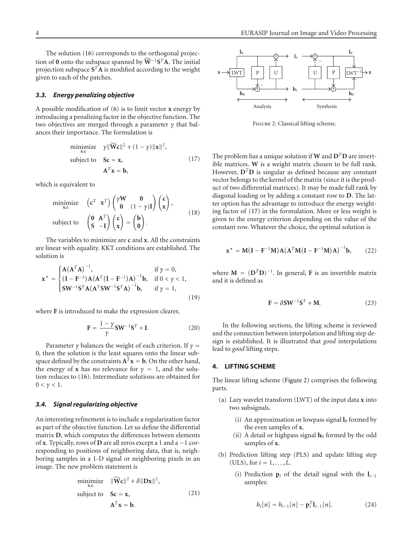The solution [\(16\)](#page-2-4) corresponds to the orthogonal projection of **0** onto the subspace spanned by  $\widetilde{W}^{-1}S^{T}A$ . The initial projection subspace  $S<sup>T</sup>A$  is modified according to the weight given to each of the patches.

### *3.3. Energy penalizing objective*

A possible modification of [\(6\)](#page-2-2) is to limit vector **x** energy by introducing a penalizing factor in the objective function. The two objectives are merged through a parameter *γ* that balances their importance. The formulation is

<span id="page-3-0"></span>
$$
\begin{aligned}\n\text{minimize} & \quad \gamma \|\widetilde{\mathbf{W}}\mathbf{c}\|^2 + (1 - \gamma) \|\mathbf{x}\|^2, \\
\text{subject to} & \quad \mathbf{Sc} = \mathbf{x}, \\
\mathbf{A}^T \mathbf{x} &= \mathbf{b},\n\end{aligned} \tag{17}
$$

which is equivalent to

minimize 
$$
(\mathbf{c}^T \ \mathbf{x}^T) \begin{pmatrix} \gamma \mathbf{W} & \mathbf{0} \\ \mathbf{0} & (1-\gamma)\mathbf{I} \end{pmatrix} \begin{pmatrix} \mathbf{c} \\ \mathbf{x} \end{pmatrix}
$$
,  
subject to  $\begin{pmatrix} \mathbf{0} & \mathbf{A}^T \\ \mathbf{S} & -\mathbf{I} \end{pmatrix} \begin{pmatrix} \mathbf{c} \\ \mathbf{x} \end{pmatrix} = \begin{pmatrix} \mathbf{b} \\ \mathbf{0} \end{pmatrix}$ . (18)

The variables to minimize are **c** and **x**. All the constraints are linear with equality. KKT conditions are established. The solution is

$$
\mathbf{x}^* = \begin{cases} \mathbf{A} (\mathbf{A}^T \mathbf{A})^{-1}, & \text{if } \gamma = 0, \\ (\mathbf{I} - \mathbf{F}^{-1}) \mathbf{A} (\mathbf{A}^T (\mathbf{I} - \mathbf{F}^{-1}) \mathbf{A})^{-1} \mathbf{b}, & \text{if } 0 < \gamma < 1, \\ \mathbf{SW}^{-1} \mathbf{S}^T \mathbf{A} (\mathbf{A}^T \mathbf{SW}^{-1} \mathbf{S}^T \mathbf{A})^{-1} \mathbf{b}, & \text{if } \gamma = 1, \end{cases}
$$
(19)

where **F** is introduced to make the expression clearer,

$$
\mathbf{F} = \frac{1 - \gamma}{\gamma} \mathbf{S} \mathbf{W}^{-1} \mathbf{S}^T + \mathbf{I}.
$$
 (20)

Parameter *<sup>γ</sup>* balances the weight of each criterion. If *<sup>γ</sup>* <sup>=</sup> 0, then the solution is the least squares onto the linear subspace defined by the constraints  $A^T x = b$ . On the other hand, the energy of **x** has no relevance for  $\gamma = 1$ , and the solution reduces to [\(16\)](#page-2-4). Intermediate solutions are obtained for  $0 < \gamma < 1$ .

#### *3.4. Signal regularizing objective*

An interesting refinement is to include a regularization factor as part of the objective function. Let us define the differential matrix **D**, which computes the differences between elements of **x**. Typically, rows of **D** are all zeros except a 1 and a −1 corresponding to positions of neighboring data, that is, neighboring samples in a 1-D signal or neighboring pixels in an image. The new problem statement is

$$
\begin{aligned}\n\text{minimize} & \quad \|\widetilde{\mathbf{W}}\mathbf{c}\|^2 + \delta \|\mathbf{D}\mathbf{x}\|^2, \\
\text{subject to} & \quad \mathbf{Sc} = \mathbf{x}, \\
\mathbf{A}^T \mathbf{x} &= \mathbf{b}.\n\end{aligned} \tag{21}
$$



<span id="page-3-1"></span>Figure 2: Classical lifting scheme.

The problem has a unique solution if **W** and  $D<sup>T</sup>D$  are invertible matrices. **W** is a weight matrix chosen to be full rank. However,  $D<sup>T</sup>D$  is singular as defined because any constant vector belongs to the kernel of the matrix (since it is the product of two differential matrices). It may be made full rank by diagonal loading or by adding a constant row to **D**. The latter option has the advantage to introduce the energy weighting factor of [\(17\)](#page-3-0) in the formulation. More or less weight is given to the energy criterion depending on the value of the constant row. Whatever the choice, the optimal solution is

$$
\mathbf{x}^{\star} = \mathbf{M}(\mathbf{I} - \mathbf{F}^{-1}\mathbf{M})\mathbf{A}(\mathbf{A}^{T}\mathbf{M}(\mathbf{I} - \mathbf{F}^{-1}\mathbf{M})\mathbf{A})^{-1}\mathbf{b},
$$
 (22)

where  $M = (D^T D)^{-1}$ . In general, **F** is an invertible matrix and it is defined as

<span id="page-3-2"></span>
$$
\mathbf{F} = \delta \mathbf{S} \mathbf{W}^{-1} \mathbf{S}^T + \mathbf{M}.
$$
 (23)

In the following sections, the lifting scheme is reviewed and the connection between interpolation and lifting step design is established. It is illustrated that *good* interpolations lead to *good* lifting steps.

## **4. LIFTING SCHEME**

The linear lifting scheme [\(Figure 2\)](#page-3-1) comprises the following parts.

- (a) Lazy wavelet transform (LWT) of the input data **x** into two subsignals.
	- (i) An approximation or lowpass signal  $l_0$  formed by the even samples of **x**.
	- (ii) A detail or highpass signal  $h_0$  formed by the odd samples of **x**.
- (b) Prediction lifting step (PLS) and update lifting step (ULS), for  $i = 1, ..., L$ .
	- (i) Prediction  $\mathbf{p}_i$  of the detail signal with the  $\mathbf{l}_{i-1}$ samples:

$$
h_i[n] = h_{i-1}[n] - \mathbf{p}_i^T \mathbf{l}_{i-1}[n]. \tag{24}
$$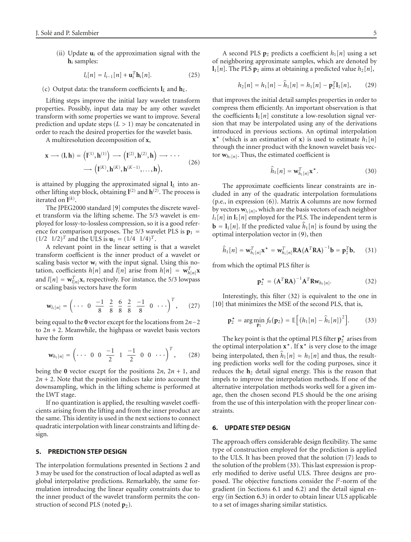(ii) Update  $\mathbf{u}_i$  of the approximation signal with the **h***i* samples:

$$
l_i[n] = l_{i-1}[n] + \mathbf{u}_i^T \mathbf{h}_i[n].
$$
 (25)

(c) Output data: the transform coefficients  $\mathbf{l}_L$  and  $\mathbf{h}_L$ .

Lifting steps improve the initial lazy wavelet transform properties. Possibly, input data may be any other wavelet transform with some properties we want to improve. Several prediction and update steps (*L >* 1) may be concatenated in order to reach the desired properties for the wavelet basis.

A multiresolution decomposition of **x**,

$$
\mathbf{x} \longrightarrow (\mathbf{l}, \mathbf{h}) = (\mathbf{l}^{(1)}, \mathbf{h}^{(1)}) \longrightarrow (\mathbf{l}^{(2)}, \mathbf{h}^{(2)}, \mathbf{h}) \longrightarrow \cdots
$$

$$
\longrightarrow (\mathbf{l}^{(K)}, \mathbf{h}^{(K)}, \mathbf{h}^{(K-1)}, \dots, \mathbf{h}), \tag{26}
$$

is attained by plugging the approximated signal **l***<sup>L</sup>* into another lifting step block, obtaining **l** (2) and **h**(2). The process is iterated on **l** (*k*) .

The JPEG2000 standard [\[9\]](#page-10-9) computes the discrete wavelet transform via the lifting scheme. The 5/3 wavelet is employed for lossy-to-lossless compression, so it is a good reference for comparison purposes. The  $5/3$  wavelet PLS is  $p_1 =$  $(1/2 \t 1/2)^T$  and the ULS is  $\mathbf{u}_1 = (1/4 \t 1/4)^T$ .

A relevant point in the linear setting is that a wavelet transform coefficient is the inner product of a wavelet or scaling basis vector  $w_i$  with the input signal. Using this notation, coefficients  $h[n]$  and  $l[n]$  arise from  $h[n] = \mathbf{w}_{h[n]}^T \mathbf{x}$ and  $l[n] = \mathbf{w}_{l[n]}^T \mathbf{x}$ , respectively. For instance, the 5/3 lowpass or scaling basis vectors have the form

$$
\mathbf{w}_{l_1[n]} = \left(\cdots \quad 0 \quad \frac{-1}{8} \quad \frac{2}{8} \quad \frac{6}{8} \quad \frac{2}{8} \quad \frac{-1}{8} \quad 0 \quad \cdots \right)^T, \qquad (27)
$$

being equal to the **<sup>0</sup>** vector except for the locations from 2*n*−<sup>2</sup> to  $2n + 2$ . Meanwhile, the highpass or wavelet basis vectors have the form

$$
\mathbf{w}_{h_1[n]} = \left(\cdots \ 0 \ 0 \ \frac{-1}{2} \ 1 \ \frac{-1}{2} \ 0 \ 0 \ \cdots\right)^T, \qquad (28)
$$

being the **0** vector except for the positions 2*n*, 2*n* + 1, and  $2n + 2$ . Note that the position indices take into account the downsampling, which in the lifting scheme is performed at the LWT stage.

If no quantization is applied, the resulting wavelet coefficients arising from the lifting and from the inner product are the same. This identity is used in the next sections to connect quadratic interpolation with linear constraints and lifting design.

## <span id="page-4-0"></span>**5. PREDICTION STEP DESIGN**

The interpolation formulations presented in Sections [2](#page-1-0) and [3](#page-2-0) may be used for the construction of local adapted as well as global interpolative predictions. Remarkably, the same formulation introducing the linear equality constraints due to the inner product of the wavelet transform permits the construction of second PLS (noted **p**2).

A second PLS  $\mathbf{p}_2$  predicts a coefficient  $h_1[n]$  using a set of neighboring approximate samples, which are denoted by  $\mathbf{l}_1[n]$ . The PLS  $\mathbf{p}_2$  aims at obtaining a predicted value  $h_2[n]$ ,

$$
h_2[n] = h_1[n] - \hat{h}_1[n] = h_1[n] - \mathbf{p}_2^T \mathbf{l}_1[n], \qquad (29)
$$

that improves the initial detail samples properties in order to compress them efficiently. An important observation is that the coefficients  $\mathbf{l}_1[n]$  constitute a low-resolution signal version that may be interpolated using any of the derivations introduced in previous sections. An optimal interpolation  $\mathbf{x}^*$  (which is an estimation of **x**) is used to estimate  $h_1[n]$ through the inner product with the known wavelet basis vector  $w_{h_1[n]}$ . Thus, the estimated coefficient is

$$
\widehat{h}_1[n] = \mathbf{w}_{h_1[n]}^T \mathbf{x}^{\star}.
$$
 (30)

The approximate coefficients linear constraints are included in any of the quadratic interpolation formulations (p.e., in expression [\(6\)](#page-2-2)). Matrix **A** columns are now formed by vectors  $w_{l_1[n]}$ , which are the basis vectors of each neighbor  $l_1[n]$  in  $l_1[n]$  employed for the PLS. The independent term is **b** =  $\mathbf{l}_1[n]$ . If the predicted value  $\hat{h}_1[n]$  is found by using the optimal interpolation vector in [\(9\)](#page-2-5), then

$$
\widehat{h}_1[n] = \mathbf{w}_{h_1[n]}^T \mathbf{x}^{\star} = \mathbf{w}_{h_1[n]}^T \mathbf{RA} (\mathbf{A}^T \mathbf{R} \mathbf{A})^{-1} \mathbf{b} = \mathbf{p}_2^T \mathbf{b}, \qquad (31)
$$

from which the optimal PLS filter is

<span id="page-4-3"></span><span id="page-4-2"></span>
$$
\mathbf{p}_2^{\star} = \left(\mathbf{A}^T \mathbf{R} \mathbf{A}\right)^{-1} \mathbf{A}^T \mathbf{R} \mathbf{w}_{h_1[n]}.
$$
 (32)

Interestingly, this filter [\(32\)](#page-4-2) is equivalent to the one in [\[10](#page-10-10)] that minimizes the MSE of the second PLS, that is,

$$
\mathbf{p}_2^{\star} = \arg\min_{\mathbf{p}_2} f_0(\mathbf{p}_2) = \mathbb{E}\Big[\big(h_1[n] - \hat{h}_1[n]\big)^2\Big].\tag{33}
$$

The key point is that the optimal PLS filter  $p_2^{\star}$  arises from the optimal interpolation  $x^*$ . If  $x^*$  is very close to the image being interpolated, then  $\hat{h}_1[n] \approx h_1[n]$  and thus, the resulting prediction works well for the coding purposes, since it reduces the  $h_2$  detail signal energy. This is the reason that impels to improve the interpolation methods. If one of the alternative interpolation methods works well for a given image, then the chosen second PLS should be the one arising from the use of this interpolation with the proper linear constraints.

## <span id="page-4-1"></span>**6. UPDATE STEP DESIGN**

The approach offers considerable design flexibility. The same type of construction employed for the prediction is applied to the ULS. It has been proved that the solution [\(7\)](#page-2-1) leads to the solution of the problem [\(33\)](#page-4-3). This last expression is properly modified to derive useful ULS. Three designs are proposed. The objective functions consider the *l* 2-norm of the gradient (in Sections [6.1](#page-5-0) and [6.2\)](#page-5-1) and the detail signal energy (in [Section 6.3\)](#page-5-2) in order to obtain linear ULS applicable to a set of images sharing similar statistics.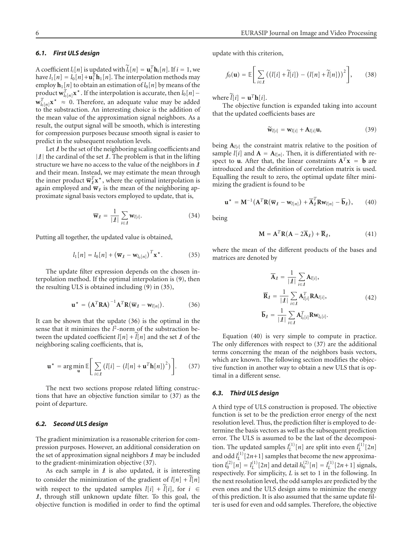# <span id="page-5-0"></span>*6.1. First ULS design*

A coefficient  $l_i[n]$  is updated with  $\tilde{l}_i[n] = \mathbf{u}_i^T \mathbf{h}_i[n]$ . If  $i = 1$ , we have  $l_1[n] = l_0[n] + \mathbf{u}_1^T \mathbf{h}_1[n]$ . The interpolation methods may employ  $\mathbf{h}_1[n]$  to obtain an estimation of  $l_0[n]$  by means of the product  $\mathbf{w}_{l_0[n]}^T \mathbf{x}^*$ . If the interpolation is accurate, then  $l_0[n]$  –  $\mathbf{w}_{l_0[n]}^T \mathbf{x}^* \approx 0$ . Therefore, an adequate value may be added to the substraction. An interesting choice is the addition of the mean value of the approximation signal neighbors. As a result, the output signal will be smooth, which is interesting for compression purposes because smooth signal is easier to predict in the subsequent resolution levels.

Let  $\mathcal I$  be the set of the neighboring scaling coefficients and | $\mathcal{I}$ | the cardinal of the set  $\mathcal{I}$ . The problem is that in the lifting structure we have no access to the value of the neighbors in  $\mathcal I$ and their mean. Instead, we may estimate the mean through the inner product  $\overline{\mathbf{w}}_l^T \mathbf{x}^*$ , where the optimal interpolation is again employed and  $\overline{w}_1$  is the mean of the neighboring approximate signal basis vectors employed to update, that is,

<span id="page-5-3"></span>
$$
\overline{\mathbf{w}}_{\ell} = \frac{1}{|\ell|} \sum_{i \in \ell} \mathbf{w}_{l[i]}.
$$
 (34)

Putting all together, the updated value is obtained,

$$
l_1[n] = l_0[n] + \left(\overline{\mathbf{w}}_1 - \mathbf{w}_{l_0[n]}\right)^T \mathbf{x}^{\star}.
$$
 (35)

The update filter expression depends on the chosen interpolation method. If the optimal interpolation is [\(9\)](#page-2-5), then the resulting ULS is obtained including [\(9\)](#page-2-5) in [\(35\)](#page-5-3),

<span id="page-5-4"></span>
$$
\mathbf{u}^{\star} = (\mathbf{A}^T \mathbf{R} \mathbf{A})^{-1} \mathbf{A}^T \mathbf{R} (\overline{\mathbf{w}}_1 - \mathbf{w}_{l[n]}).
$$
 (36)

It can be shown that the update [\(36\)](#page-5-4) is the optimal in the sense that it minimizes the  $l^2$ -norm of the substraction between the updated coefficient  $l[n] + l[n]$  and the set *I* of the neighboring scaling coefficients, that is,

$$
\mathbf{u}^{\star} = \arg\min_{\mathbf{u}} \mathbb{E}\bigg[\sum_{i \in \mathcal{I}} \big(l[i] - \big(l[n] + \mathbf{u}^T \mathbf{h}[n]\big)^2\big)\bigg].\qquad(37)
$$

The next two sections propose related lifting constructions that have an objective function similar to [\(37\)](#page-5-5) as the point of departure.

# <span id="page-5-1"></span>*6.2. Second ULS design*

The gradient minimization is a reasonable criterion for compression purposes. However, an additional consideration on the set of approximation signal neighbors  $\ell$  may be included to the gradient-minimization objective [\(37\)](#page-5-5).

As each sample in  $\ell$  is also updated, it is interesting to consider the minimization of the gradient of  $l[n] + l[n]$ with respect to the updated samples  $l[i] + \tilde{l}[i]$ , for  $i \in$  $I$ , through still unknown update filter. To this goal, the objective function is modified in order to find the optimal

update with this criterion,

$$
f_0(\mathbf{u}) = \mathbb{E}\Bigg[\sum_{i \in \mathcal{I}} \big(\big(I[i] + \widetilde{I}[i]\big) - \big(I[n] + \widetilde{I}[n]\big)\big)^2\Bigg],\qquad(38)
$$

where  $\tilde{l}[i] = \mathbf{u}^T \mathbf{h}[i]$ .

The objective function is expanded taking into account that the updated coefficients bases are

$$
\widetilde{\mathbf{w}}_{l[i]} = \mathbf{w}_{l[i]} + \mathbf{A}_{l[i]}\mathbf{u},\tag{39}
$$

being **A***l*[*i*] the constraint matrix relative to the position of sample *l*[*i*] and  $A = A_{l[n]}$ . Then, it is differentiated with respect to **u**. After that, the linear constraints  $A^T x = b$  are introduced and the definition of correlation matrix is used. Equalling the result to zero, the optimal update filter minimizing the gradient is found to be

$$
\mathbf{u}^{\star} = \mathbf{M}^{-1} (\mathbf{A}^T \mathbf{R} (\overline{\mathbf{w}}_l - \mathbf{w}_{l[n]}) + \overline{\mathbf{A}}_l^T \mathbf{R} \mathbf{w}_{l[n]} - \overline{\mathbf{b}}_l), \qquad (40)
$$

being

<span id="page-5-6"></span>
$$
\mathbf{M} = \mathbf{A}^T \mathbf{R} (\mathbf{A} - 2\overline{\mathbf{A}}_l) + \overline{\mathbf{R}}_l, \tag{41}
$$

where the mean of the different products of the bases and matrices are denoted by

$$
\overline{\mathbf{A}}_l = \frac{1}{|\mathcal{I}|} \sum_{i \in \mathcal{I}} \mathbf{A}_{I[i]},
$$
\n
$$
\overline{\mathbf{R}}_l = \frac{1}{|\mathcal{I}|} \sum_{i \in \mathcal{I}} \mathbf{A}_{I[i]}^T \mathbf{R} \mathbf{A}_{I[i]},
$$
\n
$$
\overline{\mathbf{b}}_l = \frac{1}{|\mathcal{I}|} \sum_{i \in \mathcal{I}} \mathbf{A}_{I_0[i]}^T \mathbf{R} \mathbf{w}_{I_0[i]}.
$$
\n(42)

<span id="page-5-5"></span>Equation [\(40\)](#page-5-6) is very simple to compute in practice. The only differences with respect to [\(37\)](#page-5-5) are the additional terms concerning the mean of the neighbors basis vectors, which are known. The following section modifies the objective function in another way to obtain a new ULS that is optimal in a different sense.

#### <span id="page-5-2"></span>*6.3. Third ULS design*

A third type of ULS construction is proposed. The objective function is set to be the prediction error energy of the next resolution level. Thus, the prediction filter is employed to determine the basis vectors as well as the subsequent prediction error. The ULS is assumed to be the last of the decomposition. The updated samples  $l_L^{(1)}[n]$  are split into even  $l_L^{(1)}[2n]$ and odd  $l_L^{(1)}$  [2*n*+1] samples that become the new approximation  $l_0^{(2)}[n] = l_L^{(1)}[2n]$  and detail  $h_0^{(2)}[n] = l_L^{(1)}[2n+1]$  signals, respectively. For simplicity, *L* is set to 1 in the following. In the next resolution level, the odd samples are predicted by the even ones and the ULS design aims to minimize the energy of this prediction. It is also assumed that the same update filter is used for even and odd samples. Therefore, the objective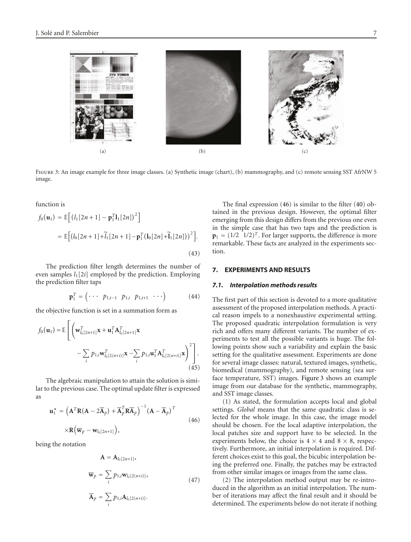

FIGURE 3: An image example for three image classes. (a) Synthetic image (chart), (b) mammography, and (c) remote sensing SST AfrNW 5 image.

<span id="page-6-2"></span>function is

$$
f_0(\mathbf{u}_1) = \mathbb{E}\Big[\left(l_1[2n+1] - \mathbf{p}_1^T \mathbf{l}_1[2n]\right)^2\Big]
$$
  
= 
$$
\mathbb{E}\Big[\left(l_0[2n+1] + \widetilde{l}_1[2n+1] - \mathbf{p}_1^T\left(\mathbf{l}_0[2n] + \widetilde{\mathbf{l}}_1[2n]\right)\right)^2\Big].
$$
 (43)

The prediction filter length determines the number of even samples  $l_1[2i]$  employed by the prediction. Employing the prediction filter taps

$$
\mathbf{p}_1^T = (\cdots \ p_{1,i-1} \ p_{1,i} \ p_{1,i+1} \ \cdots)
$$
 (44)

the objective function is set in a summation form as

$$
f_0(\mathbf{u}_1) = \mathbb{E}\left[\left(\mathbf{w}_{l_0[2n+1]}^T \mathbf{x} + \mathbf{u}_1^T \mathbf{A}_{l_0[2n+1]}^T \mathbf{x}\right.\right.\left.-\sum_i p_{1,i} \mathbf{w}_{l_0[2(n+i)]}^T \mathbf{x} - \sum_i p_{1,i} \mathbf{u}_1^T \mathbf{A}_{l_0[2(n+i)]}^T \mathbf{x}\right)^2\right].
$$
\n(45)

The algebraic manipulation to attain the solution is similar to the previous case. The optimal update filter is expressed as

$$
\mathbf{u}_{1}^{\star} = \left(\mathbf{A}^{T} \mathbf{R} (\mathbf{A} - 2\overline{\mathbf{A}}_{p}) + \overline{\mathbf{A}}_{p}^{T} \mathbf{R} \overline{\mathbf{A}}_{p}\right)^{-1} (\mathbf{A} - \overline{\mathbf{A}}_{p})^{T}
$$
  
× $\mathbf{R} (\overline{\mathbf{w}}_{p} - \mathbf{w}_{I_{0}[2n+1]}),$  (46)

being the notation

$$
\mathbf{A} = \mathbf{A}_{l_0[2n+1]},
$$
\n
$$
\overline{\mathbf{w}}_p = \sum_i p_{1,i} \mathbf{w}_{l_0[2(n+i)]},
$$
\n
$$
\overline{\mathbf{A}}_p = \sum_i p_{1,i} \mathbf{A}_{l_0[2(n+i)]}.
$$
\n(47)

The final expression [\(46\)](#page-6-1) is similar to the filter [\(40\)](#page-5-6) obtained in the previous design. However, the optimal filter emerging from this design differs from the previous one even in the simple case that has two taps and the prediction is  $\mathbf{p}_1 = (1/2 \quad 1/2)^T$ . For larger supports, the difference is more remarkable. These facts are analyzed in the experiments section.

# <span id="page-6-0"></span>**7. EXPERIMENTS AND RESULTS**

#### *7.1. Interpolation methods results*

The first part of this section is devoted to a more qualitative assessment of the proposed interpolation methods. A practical reason impels to a nonexhaustive experimental setting. The proposed quadratic interpolation formulation is very rich and offers many different variants. The number of experiments to test all the possible variants is huge. The following points show such a variability and explain the basic setting for the qualitative assessment. Experiments are done for several image classes: natural, textured images, synthetic, biomedical (mammography), and remote sensing (sea surface temperature, SST) images. [Figure 3](#page-6-2) shows an example image from our database for the synthetic, mammography, and SST image classes.

<span id="page-6-1"></span>(1) As stated, the formulation accepts local and global settings. *Global* means that the same quadratic class is selected for the whole image. In this case, the image model should be chosen. For the local adaptive interpolation, the local patches size and support have to be selected. In the experiments below, the choice is  $4 \times 4$  and  $8 \times 8$ , respectively. Furthermore, an initial interpolation is required. Different choices exist to this goal, the bicubic interpolation being the preferred one. Finally, the patches may be extracted from other similar images or images from the same class.

(2) The interpolation method output may be re-introduced in the algorithm as an initial interpolation. The number of iterations may affect the final result and it should be determined. The experiments below do not iterate if nothing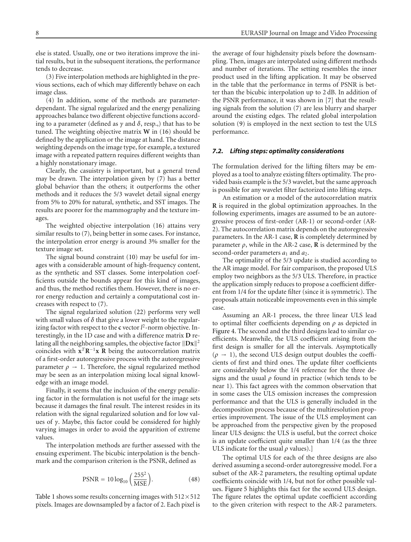else is stated. Usually, one or two iterations improve the initial results, but in the subsequent iterations, the performance tends to decrease.

(3) Five interpolation methods are highlighted in the previous sections, each of which may differently behave on each image class.

(4) In addition, some of the methods are parameterdependant. The signal regularized and the energy penalizing approaches balance two different objective functions according to a parameter (defined as *γ* and *δ*, resp.,) that has to be tuned. The weighting objective matrix **W** in [\(16\)](#page-2-4) should be defined by the application or the image at hand. The distance weighting depends on the image type, for example, a textured image with a repeated pattern requires different weights than a highly nonstationary image.

Clearly, the casuistry is important, but a general trend may be drawn. The interpolation given by [\(7\)](#page-2-1) has a better global behavior than the others; it outperforms the other methods and it reduces the 5/3 wavelet detail signal energy from 5% to 20% for natural, synthetic, and SST images. The results are poorer for the mammography and the texture images.

The weighted objective interpolation [\(16\)](#page-2-4) attains very similar results to [\(7\)](#page-2-1), being better in some cases. For instance, the interpolation error energy is around 3% smaller for the texture image set.

The signal bound constraint [\(10\)](#page-2-3) may be useful for images with a considerable amount of high-frequency content, as the synthetic and SST classes. Some interpolation coefficients outside the bounds appear for this kind of images, and thus, the method rectifies them. However, there is no error energy reduction and certainly a computational cost increases with respect to [\(7\)](#page-2-1).

The signal regularized solution [\(22\)](#page-3-2) performs very well with small values of  $\delta$  that give a lower weight to the regularizing factor with respect to the **c** vector *l* 2-norm objective. Interestingly, in the 1D case and with a difference matrix **D** relating all the neighboring samples, the objective factor  $||Dx||^2$ coincides with **x***<sup>T</sup>***R**−<sup>1</sup>**x R** being the autocorrelation matrix of a first-order autoregressive process with the autoregressive parameter  $\rho \rightarrow 1$ . Therefore, the signal regularized method may be seen as an interpolation mixing local signal knowledge with an image model.

Finally, it seems that the inclusion of the energy penalizing factor in the formulation is not useful for the image sets because it damages the final result. The interest resides in its relation with the signal regularized solution and for low values of *γ*. Maybe, this factor could be considered for highly varying images in order to avoid the apparition of extreme values.

The interpolation methods are further assessed with the ensuing experiment. The bicubic interpolation is the benchmark and the comparison criterion is the PSNR, defined as

$$
PSNR = 10 \log_{10} \left( \frac{255^2}{MSE} \right). \tag{48}
$$

[Table 1](#page-8-0) shows some results concerning images with  $512\times512$ pixels. Images are downsampled by a factor of 2. Each pixel is the average of four highdensity pixels before the downsampling. Then, images are interpolated using different methods and number of iterations. The setting resembles the inner product used in the lifting application. It may be observed in the table that the performance in terms of PSNR is better than the bicubic interpolation up to 2 dB. In addition of the PSNR performance, it was shown in [\[7\]](#page-10-6) that the resulting signals from the solution [\(7\)](#page-2-1) are less blurry and sharper around the existing edges. The related global interpolation solution [\(9\)](#page-2-5) is employed in the next section to test the ULS performance.

#### *7.2. Lifting steps: optimality considerations*

The formulation derived for the lifting filters may be employed as a tool to analyze existing filters optimality. The provided basis example is the 5/3 wavelet, but the same approach is possible for any wavelet filter factorized into lifting steps.

An estimation or a model of the autocorrelation matrix **R** is required in the global optimization approaches. In the following experiments, images are assumed to be an autoregressive process of first-order (AR-1) or second-order (AR-2). The autocorrelation matrix depends on the autoregressive parameters. In the AR-1 case, **R** is completely determined by parameter  $\rho$ , while in the AR-2 case, **R** is determined by the second-order parameters  $a_1$  and  $a_2$ .

The optimality of the 5/3 update is studied according to the AR image model. For fair comparison, the proposed ULS employ two neighbors as the 5/3 ULS. Therefore, in practice the application simply reduces to propose a coefficient different from 1/4 for the update filter (since it is symmetric). The proposals attain noticeable improvements even in this simple case.

Assuming an AR-1 process, the three linear ULS lead to optimal filter coefficients depending on *ρ* as depicted in [Figure 4.](#page-8-1) The second and the third designs lead to similar coefficients. Meanwhile, the ULS coefficient arising from the first design is smaller for all the intervals. Asymptotically  $(\rho \rightarrow 1)$ , the second ULS design output doubles the coefficients of first and third ones. The update filter coefficients are considerably below the 1/4 reference for the three designs and the usual  $\rho$  found in practice (which tends to be near 1). This fact agrees with the common observation that in some cases the ULS omission increases the compression performance and that the ULS is generally included in the decomposition process because of the multiresolution properties improvement. The issue of the ULS employment can be approached from the perspective given by the proposed linear ULS designs: the ULS is useful, but the correct choice is an update coefficient quite smaller than 1/4 (as the three ULS indicate for the usual *ρ* values).]

The optimal ULS for each of the three designs are also derived assuming a second-order autoregressive model. For a subset of the AR-2 parameters, the resulting optimal update coefficients coincide with 1/4, but not for other possible values. [Figure 5](#page-8-2) highlights this fact for the second ULS design. The figure relates the optimal update coefficient according to the given criterion with respect to the AR-2 parameters.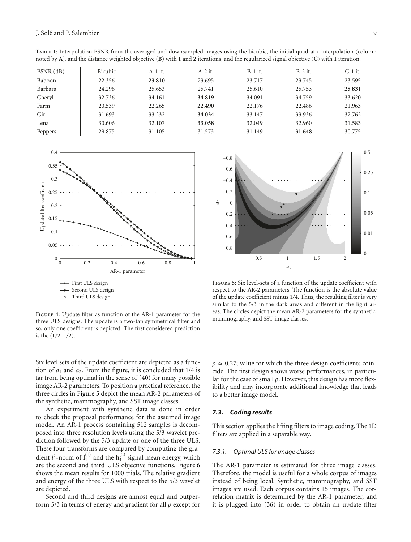<span id="page-8-0"></span>

| noted by A), and the distance weighted objective (B) with 1 and 2 iterations, and the regularized signal objective (C) with 1 iteration. |         |           |           |           |           |           |  |
|------------------------------------------------------------------------------------------------------------------------------------------|---------|-----------|-----------|-----------|-----------|-----------|--|
| $PSNR$ (dB)                                                                                                                              | Bicubic | $A-1$ it. | $A-2$ it. | $B-1$ it. | $B-2$ it. | $C-1$ it. |  |
| Baboon                                                                                                                                   | 22.356  | 23.810    | 23.695    | 23.717    | 23.745    | 23.595    |  |
| Barbara                                                                                                                                  | 24.296  | 25.653    | 25.741    | 25.610    | 25.753    | 25.831    |  |
| Cheryl                                                                                                                                   | 32.736  | 34.161    | 34.819    | 34.091    | 34.759    | 33.620    |  |
| Farm                                                                                                                                     | 20.539  | 22.265    | 22.490    | 22.176    | 22.486    | 21.963    |  |
| Girl                                                                                                                                     | 31.693  | 33.232    | 34.034    | 33.147    | 33.936    | 32.762    |  |
| Lena                                                                                                                                     | 30.606  | 32.107    | 33.058    | 32.049    | 32.960    | 31.583    |  |
| Peppers                                                                                                                                  | 29.875  | 31.105    | 31.573    | 31.149    | 31.648    | 30.775    |  |

Table 1: Interpolation PSNR from the averaged and downsampled images using the bicubic, the initial quadratic interpolation (column



<span id="page-8-1"></span>Figure 4: Update filter as function of the AR-1 parameter for the three ULS designs. The update is a two-tap symmetrical filter and so, only one coefficient is depicted. The first considered prediction is the (1*/*2 1*/*2).

Six level sets of the update coefficient are depicted as a function of  $a_1$  and  $a_2$ . From the figure, it is concluded that  $1/4$  is far from being optimal in the sense of [\(40\)](#page-5-6) for many possible image AR-2 parameters. To position a practical reference, the three circles in [Figure 5](#page-8-2) depict the mean AR-2 parameters of the synthetic, mammography, and SST image classes.

An experiment with synthetic data is done in order to check the proposal performance for the assumed image model. An AR-1 process containing 512 samples is decomposed into three resolution levels using the 5/3 wavelet prediction followed by the 5/3 update or one of the three ULS. These four transforms are compared by computing the gradient  $l^2$ -norm of  $\mathbf{l}_1^{(1)}$  and the  $\mathbf{h}_1^{(2)}$  signal mean energy, which are the second and third ULS objective functions. [Figure 6](#page-9-0) shows the mean results for 1000 trials. The relative gradient and energy of the three ULS with respect to the 5/3 wavelet are depicted.

Second and third designs are almost equal and outperform 5/3 in terms of energy and gradient for all *ρ* except for

<span id="page-8-2"></span>FIGURE 5: Six level-sets of a function of the update coefficient with respect to the AR-2 parameters. The function is the absolute value of the update coefficient minus 1*/*4. Thus, the resulting filter is very similar to the 5/3 in the dark areas and different in the light areas. The circles depict the mean AR-2 parameters for the synthetic, mammography, and SST image classes.

*a*1

0*.*511*.*5 2

 $\rho \approx 0.27$ ; value for which the three design coefficients coincide. The first design shows worse performances, in particular for the case of small *ρ*. However, this design has more flexibility and may incorporate additional knowledge that leads to a better image model.

## *7.3. Coding results*

0*.*8 0*.*6 0*.*4 0*.*2  $\Omega$ <sup>−</sup>0*.*<sup>2</sup> <sup>−</sup>0*.*<sup>4</sup> <sup>−</sup>0*.*<sup>6</sup> <sup>−</sup>0*.*<sup>8</sup>

*a*2

This section applies the lifting filters to image coding. The 1D filters are applied in a separable way.

## *7.3.1. Optimal ULS for image classes*

The AR-1 parameter is estimated for three image classes. Therefore, the model is useful for a whole corpus of images instead of being local. Synthetic, mammography, and SST images are used. Each corpus contains 15 images. The correlation matrix is determined by the AR-1 parameter, and it is plugged into [\(36\)](#page-5-4) in order to obtain an update filter

 $\theta$ 

0*.*01

0*.*05

0*.*1

0*.*25

0*.*5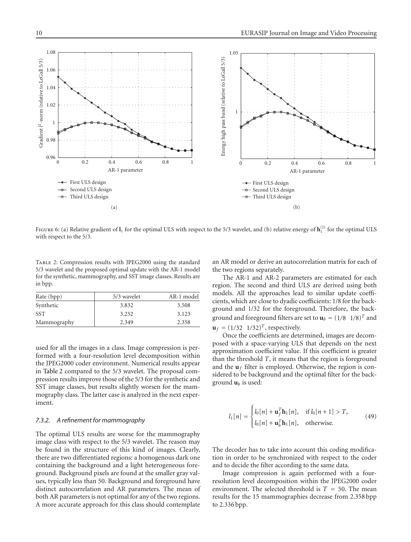

<span id="page-9-0"></span>FIGURE 6: (a) Relative gradient of  $\mathbf{l}_1$  for the optimal ULS with respect to the 5/3 wavelet, and (b) relative energy of  $\mathbf{h}_1^{(2)}$  for the optimal ULS with respect to the 5/3.

<span id="page-9-1"></span>Table 2: Compression results with JPEG2000 using the standard 5/3 wavelet and the proposed optimal update with the AR-1 model for the synthetic, mammography, and SST image classes. Results are in bpp.

| Rate (bpp)  | 5/3 wavelet | AR-1 model |
|-------------|-------------|------------|
| Synthetic   | 3.832       | 3.508      |
| <b>SST</b>  | 3.252       | 3.123      |
| Mammography | 2.349       | 2.358      |

used for all the images in a class. Image compression is performed with a four-resolution level decomposition within the JPEG2000 coder environment. Numerical results appear in [Table 2](#page-9-1) compared to the 5/3 wavelet. The proposal compression results improve those of the 5/3 for the synthetic and SST image classes, but results slightly worsen for the mammography class. The latter case is analyzed in the next experiment.

#### *7.3.2. A refinement for mammography*

The optimal ULS results are worse for the mammography image class with respect to the 5/3 wavelet. The reason may be found in the structure of this kind of images. Clearly, there are two differentiated regions: a homogenous dark one containing the background and a light heterogeneous foreground. Background pixels are found at the smaller gray values, typically less than 50. Background and foreground have distinct autocorrelation and AR parameters. The mean of both AR parameters is not optimal for any of the two regions. A more accurate approach for this class should contemplate

an AR model or derive an autocorrelation matrix for each of the two regions separately.

The AR-1 and AR-2 parameters are estimated for each region. The second and third ULS are derived using both models. All the approaches lead to similar update coefficients, which are close to dyadic coefficients: 1/8 for the background and 1/32 for the foreground. Therefore, the background and foreground filters are set to  $\mathbf{u}_b = (1/8 \quad 1/8)^T$  and

**, respectively.** 

Once the coefficients are determined, images are decomposed with a space-varying ULS that depends on the next approximation coefficient value. If this coefficient is greater than the threshold *T*, it means that the region is foreground and the  $\mathbf{u}_f$  filter is employed. Otherwise, the region is considered to be background and the optimal filter for the background **u***<sup>b</sup>* is used:

$$
l_1[n] = \begin{cases} l_0[n] + \mathbf{u}_f^T \mathbf{h}_1[n], & \text{if } l_0[n+1] > T, \\ l_0[n] + \mathbf{u}_b^T \mathbf{h}_1[n], & \text{otherwise.} \end{cases}
$$
(49)

The decoder has to take into account this coding modification in order to be synchronized with respect to the coder and to decide the filter according to the same data.

Image compression is again performed with a fourresolution level decomposition within the JPEG2000 coder environment. The selected threshold is  $T = 50$ . The mean results for the 15 mammographies decrease from 2.358 bpp to 2.336 bpp.